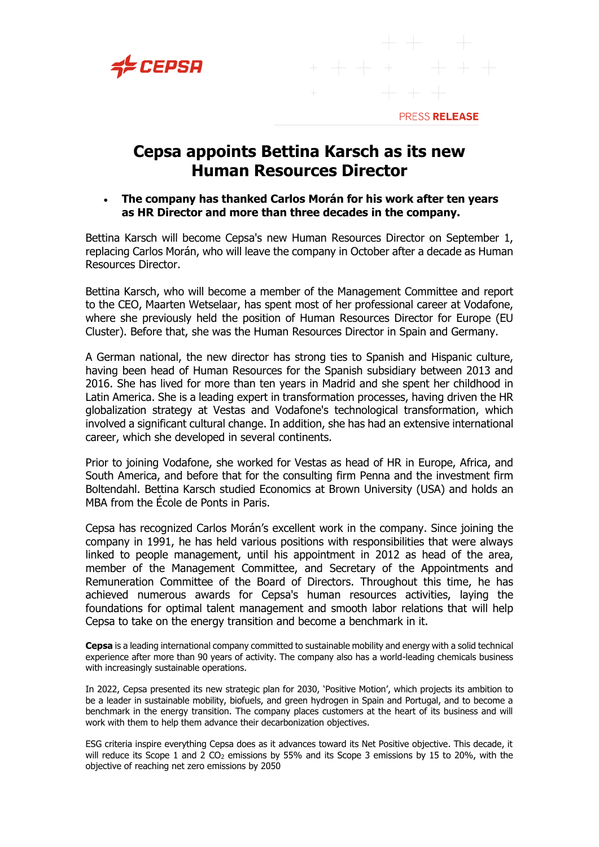



## **Cepsa appoints Bettina Karsch as its new Human Resources Director**

## • **The company has thanked Carlos Morán for his work after ten years as HR Director and more than three decades in the company.**

Bettina Karsch will become Cepsa's new Human Resources Director on September 1, replacing Carlos Morán, who will leave the company in October after a decade as Human Resources Director.

Bettina Karsch, who will become a member of the Management Committee and report to the CEO, Maarten Wetselaar, has spent most of her professional career at Vodafone, where she previously held the position of Human Resources Director for Europe (EU Cluster). Before that, she was the Human Resources Director in Spain and Germany.

A German national, the new director has strong ties to Spanish and Hispanic culture, having been head of Human Resources for the Spanish subsidiary between 2013 and 2016. She has lived for more than ten years in Madrid and she spent her childhood in Latin America. She is a leading expert in transformation processes, having driven the HR globalization strategy at Vestas and Vodafone's technological transformation, which involved a significant cultural change. In addition, she has had an extensive international career, which she developed in several continents.

Prior to joining Vodafone, she worked for Vestas as head of HR in Europe, Africa, and South America, and before that for the consulting firm Penna and the investment firm Boltendahl. Bettina Karsch studied Economics at Brown University (USA) and holds an MBA from the École de Ponts in Paris.

Cepsa has recognized Carlos Morán's excellent work in the company. Since joining the company in 1991, he has held various positions with responsibilities that were always linked to people management, until his appointment in 2012 as head of the area, member of the Management Committee, and Secretary of the Appointments and Remuneration Committee of the Board of Directors. Throughout this time, he has achieved numerous awards for Cepsa's human resources activities, laying the foundations for optimal talent management and smooth labor relations that will help Cepsa to take on the energy transition and become a benchmark in it.

**Cepsa** is a leading international company committed to sustainable mobility and energy with a solid technical experience after more than 90 years of activity. The company also has a world-leading chemicals business with increasingly sustainable operations.

In 2022, Cepsa presented its new strategic plan for 2030, 'Positive Motion', which projects its ambition to be a leader in sustainable mobility, biofuels, and green hydrogen in Spain and Portugal, and to become a benchmark in the energy transition. The company places customers at the heart of its business and will work with them to help them advance their decarbonization objectives.

ESG criteria inspire everything Cepsa does as it advances toward its Net Positive objective. This decade, it will reduce its Scope 1 and 2  $CO<sub>2</sub>$  emissions by 55% and its Scope 3 emissions by 15 to 20%, with the objective of reaching net zero emissions by 2050